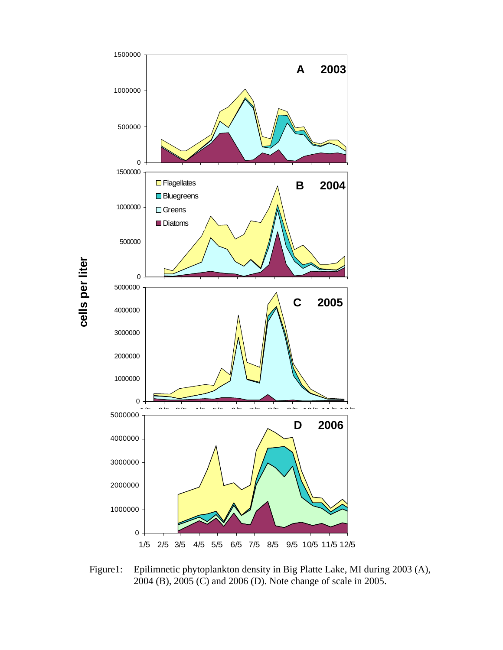

Figure1: Epilimnetic phytoplankton density in Big Platte Lake, MI during 2003 (A), 2004 (B), 2005 (C) and 2006 (D). Note change of scale in 2005.

cells per liter **cells per liter**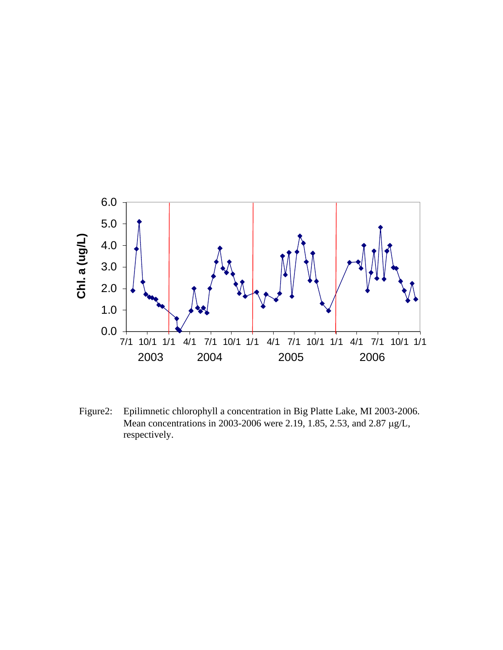

Figure2: Epilimnetic chlorophyll a concentration in Big Platte Lake, MI 2003-2006. Mean concentrations in 2003-2006 were 2.19, 1.85, 2.53, and 2.87 μg/L, respectively.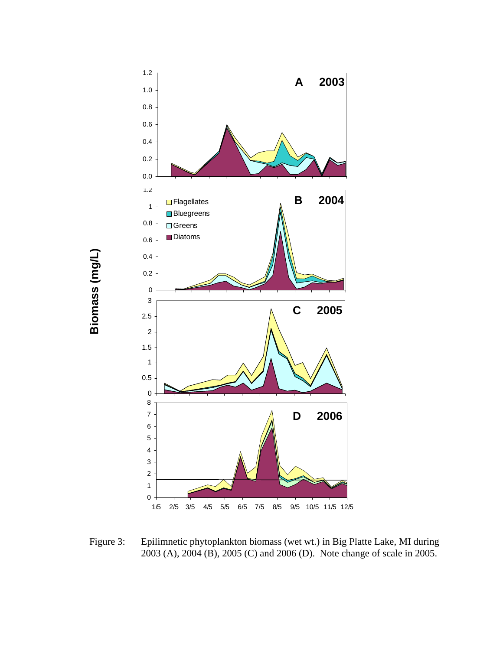

**Biomass (mg/L)**

Biomass (mg/L)

Figure 3: Epilimnetic phytoplankton biomass (wet wt.) in Big Platte Lake, MI during 2003 (A), 2004 (B), 2005 (C) and 2006 (D). Note change of scale in 2005.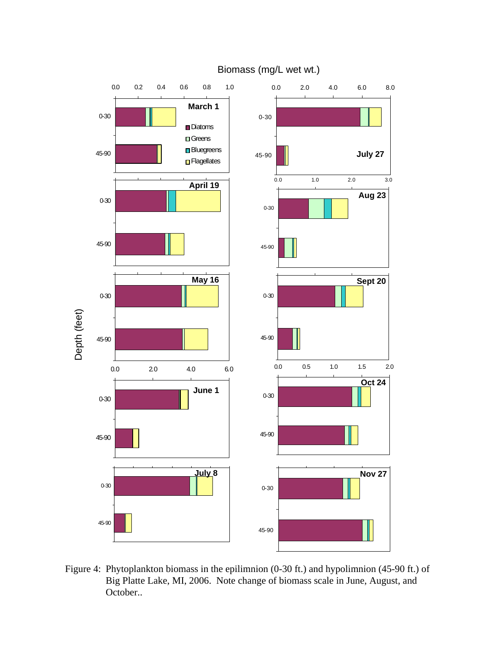

Biomass (mg/L wet wt.)

Figure 4: Phytoplankton biomass in the epilimnion (0-30 ft.) and hypolimnion (45-90 ft.) of Big Platte Lake, MI, 2006. Note change of biomass scale in June, August, and October..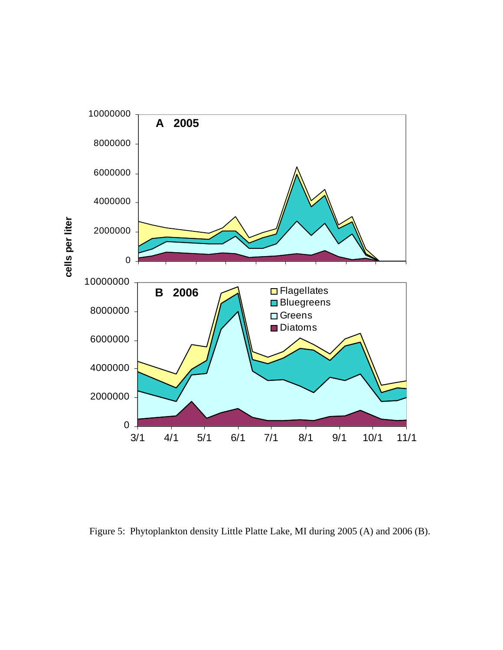

Figure 5: Phytoplankton density Little Platte Lake, MI during 2005 (A) and 2006 (B).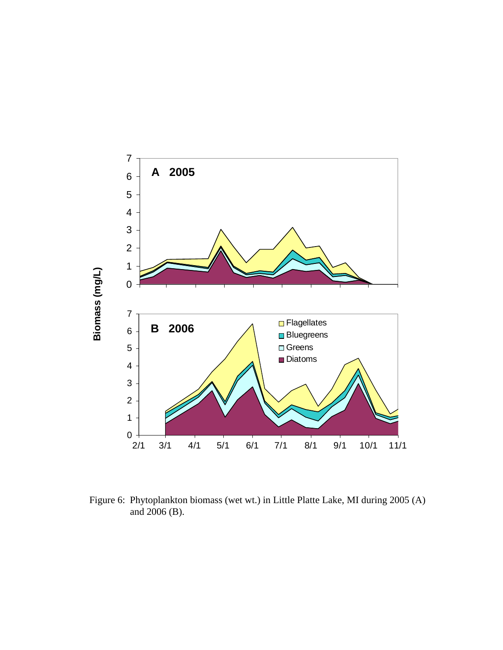

Figure 6: Phytoplankton biomass (wet wt.) in Little Platte Lake, MI during 2005 (A) and 2006 (B).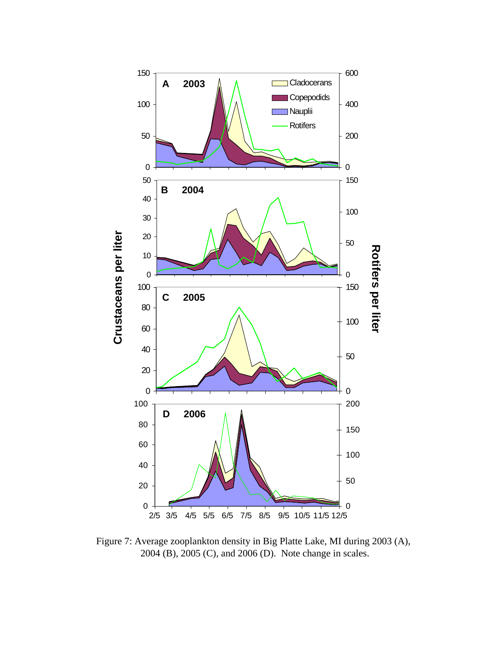

Figure 7: Average zooplankton density in Big Platte Lake, MI during 2003 (A), 2004 (B), 2005 (C), and 2006 (D). Note change in scales.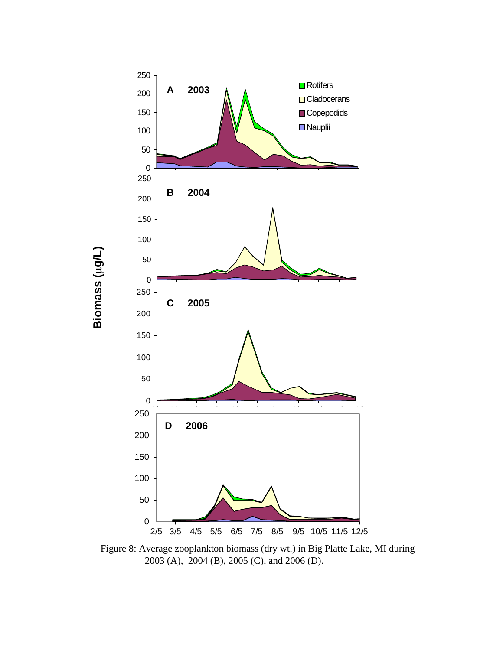

**Biomass (**

μ**g/L)**

Figure 8: Average zooplankton biomass (dry wt.) in Big Platte Lake, MI during 2003 (A), 2004 (B), 2005 (C), and 2006 (D).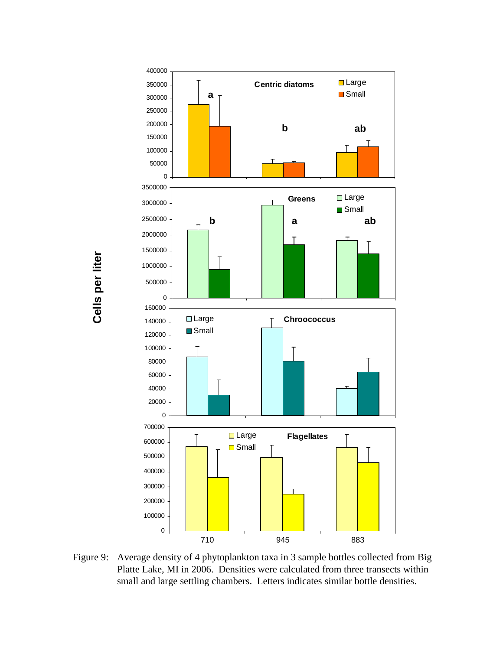Cells per liter **Cells per liter**



Figure 9: Average density of 4 phytoplankton taxa in 3 sample bottles collected from Big Platte Lake, MI in 2006. Densities were calculated from three transects within small and large settling chambers. Letters indicates similar bottle densities.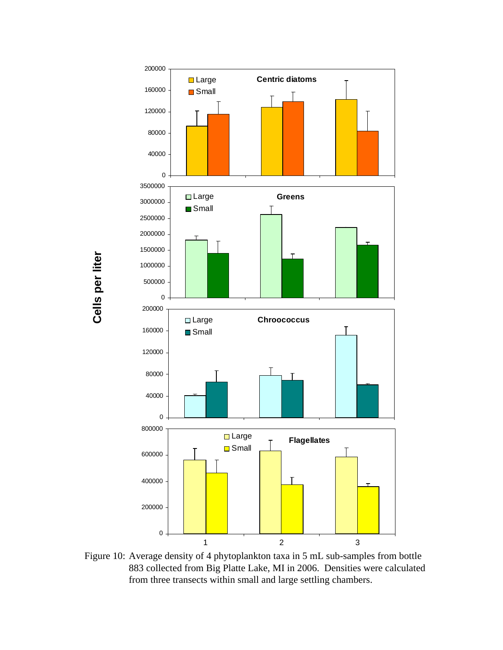Cells per liter **Cells per liter**



Figure 10: Average density of 4 phytoplankton taxa in 5 mL sub-samples from bottle 883 collected from Big Platte Lake, MI in 2006. Densities were calculated from three transects within small and large settling chambers.